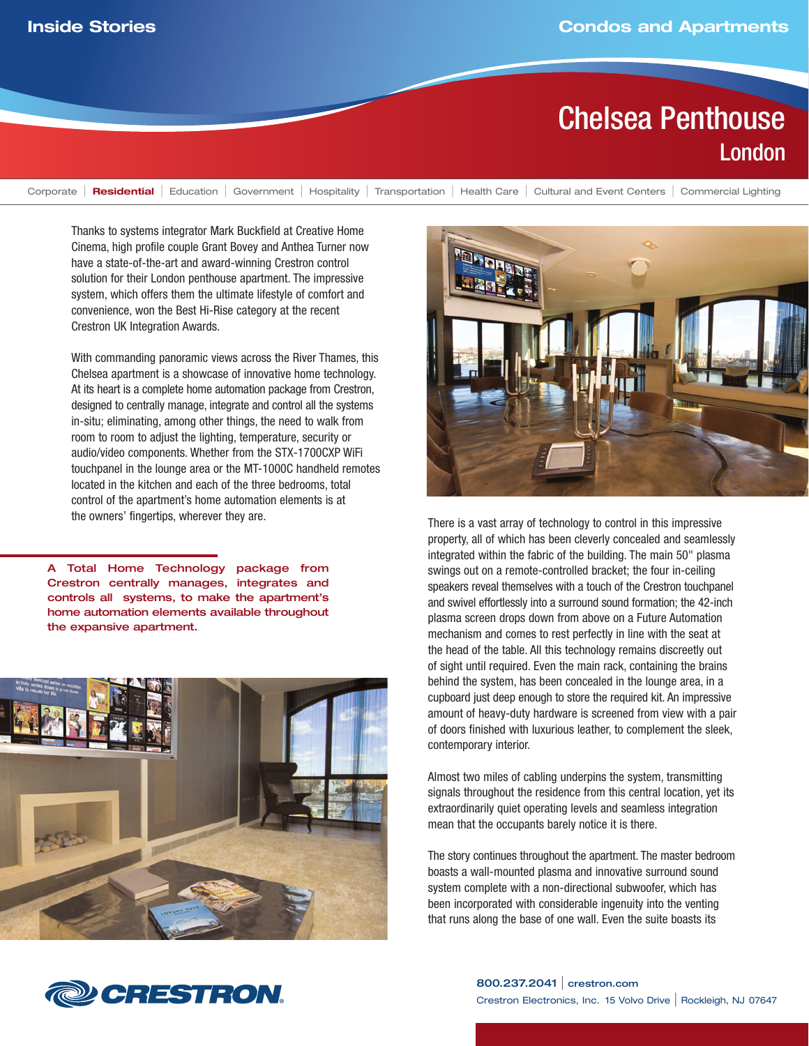## Chelsea Penthouse London

Corporate | **Residential** | Education | Government | Hospitality | Transportation | Health Care | Cultural and Event Centers | Commercial Lighting

Thanks to systems integrator Mark Buckfield at Creative Home Cinema, high profile couple Grant Bovey and Anthea Turner now have a state-of-the-art and award-winning Crestron control solution for their London penthouse apartment. The impressive system, which offers them the ultimate lifestyle of comfort and convenience, won the Best Hi-Rise category at the recent Crestron UK Integration Awards.

With commanding panoramic views across the River Thames, this Chelsea apartment is a showcase of innovative home technology. At its heart is a complete home automation package from Crestron, designed to centrally manage, integrate and control all the systems in-situ; eliminating, among other things, the need to walk from room to room to adjust the lighting, temperature, security or audio/video components. Whether from the STX-1700CXP WiFi touchpanel in the lounge area or the MT-1000C handheld remotes located in the kitchen and each of the three bedrooms, total control of the apartment's home automation elements is at the owners' fingertips, wherever they are.

A Total Home Technology package from Crestron centrally manages, integrates and controls all systems, to make the apartment's home automation elements available throughout the expansive apartment.





There is a vast array of technology to control in this impressive property, all of which has been cleverly concealed and seamlessly integrated within the fabric of the building. The main 50" plasma swings out on a remote-controlled bracket; the four in-ceiling speakers reveal themselves with a touch of the Crestron touchpanel and swivel effortlessly into a surround sound formation; the 42-inch plasma screen drops down from above on a Future Automation mechanism and comes to rest perfectly in line with the seat at the head of the table. All this technology remains discreetly out of sight until required. Even the main rack, containing the brains behind the system, has been concealed in the lounge area, in a cupboard just deep enough to store the required kit. An impressive amount of heavy-duty hardware is screened from view with a pair of doors finished with luxurious leather, to complement the sleek, contemporary interior.

Almost two miles of cabling underpins the system, transmitting signals throughout the residence from this central location, yet its extraordinarily quiet operating levels and seamless integration mean that the occupants barely notice it is there.

The story continues throughout the apartment. The master bedroom boasts a wall-mounted plasma and innovative surround sound system complete with a non-directional subwoofer, which has been incorporated with considerable ingenuity into the venting that runs along the base of one wall. Even the suite boasts its